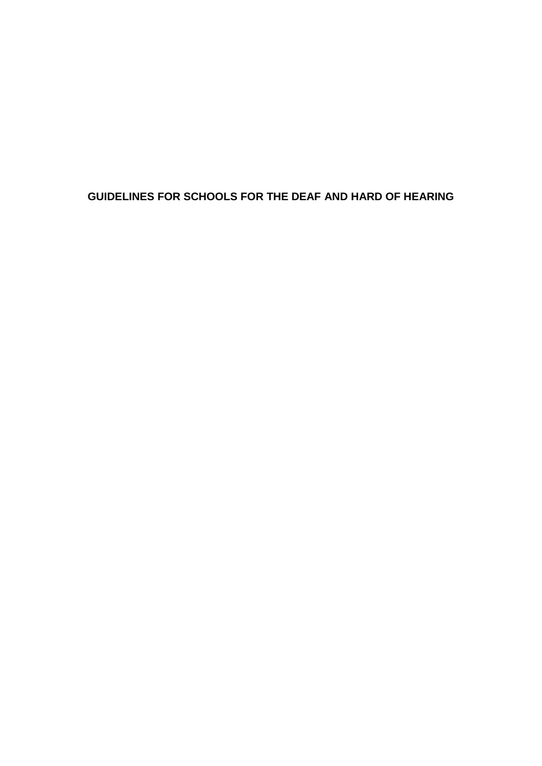## **GUIDELINES FOR SCHOOLS FOR THE DEAF AND HARD OF HEARING**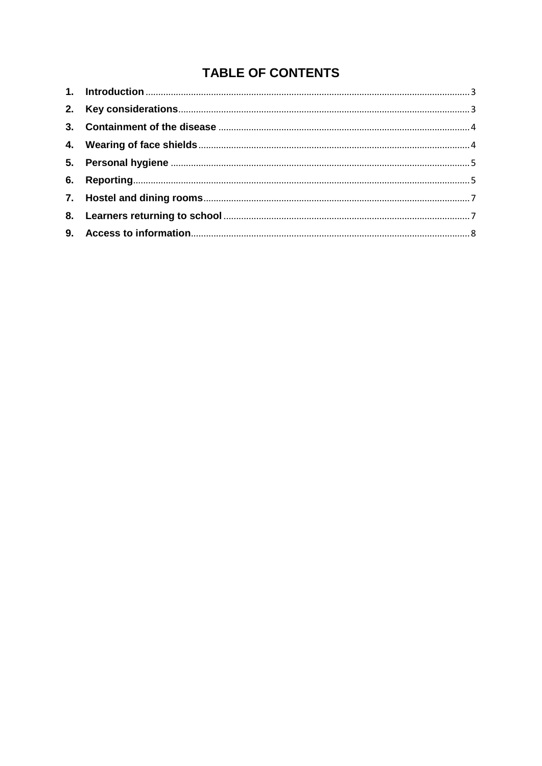# TABLE OF CONTENTS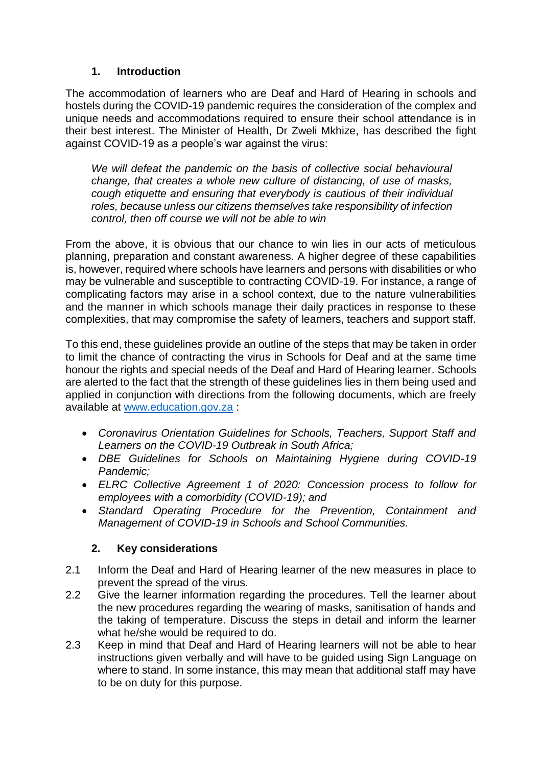#### **1. Introduction**

<span id="page-2-0"></span>The accommodation of learners who are Deaf and Hard of Hearing in schools and hostels during the COVID-19 pandemic requires the consideration of the complex and unique needs and accommodations required to ensure their school attendance is in their best interest. The Minister of Health, Dr Zweli Mkhize, has described the fight against COVID-19 as a people's war against the virus:

*We will defeat the pandemic on the basis of collective social behavioural change, that creates a whole new culture of distancing, of use of masks, cough etiquette and ensuring that everybody is cautious of their individual roles, because unless our citizens themselves take responsibility of infection control, then off course we will not be able to win*

From the above, it is obvious that our chance to win lies in our acts of meticulous planning, preparation and constant awareness. A higher degree of these capabilities is, however, required where schools have learners and persons with disabilities or who may be vulnerable and susceptible to contracting COVID-19. For instance, a range of complicating factors may arise in a school context, due to the nature vulnerabilities and the manner in which schools manage their daily practices in response to these complexities, that may compromise the safety of learners, teachers and support staff.

To this end, these guidelines provide an outline of the steps that may be taken in order to limit the chance of contracting the virus in Schools for Deaf and at the same time honour the rights and special needs of the Deaf and Hard of Hearing learner. Schools are alerted to the fact that the strength of these guidelines lies in them being used and applied in conjunction with directions from the following documents, which are freely available at [www.education.gov.za](http://www.education.gov.za/) :

- *Coronavirus Orientation Guidelines for Schools, Teachers, Support Staff and Learners on the COVID-19 Outbreak in South Africa;*
- *DBE Guidelines for Schools on Maintaining Hygiene during COVID-19 Pandemic;*
- *ELRC Collective Agreement 1 of 2020: Concession process to follow for employees with a comorbidity (COVID-19); and*
- *Standard Operating Procedure for the Prevention, Containment and Management of COVID-19 in Schools and School Communities.*

## **2. Key considerations**

- <span id="page-2-1"></span>2.1 Inform the Deaf and Hard of Hearing learner of the new measures in place to prevent the spread of the virus.
- 2.2 Give the learner information regarding the procedures. Tell the learner about the new procedures regarding the wearing of masks, sanitisation of hands and the taking of temperature. Discuss the steps in detail and inform the learner what he/she would be required to do.
- 2.3 Keep in mind that Deaf and Hard of Hearing learners will not be able to hear instructions given verbally and will have to be guided using Sign Language on where to stand. In some instance, this may mean that additional staff may have to be on duty for this purpose.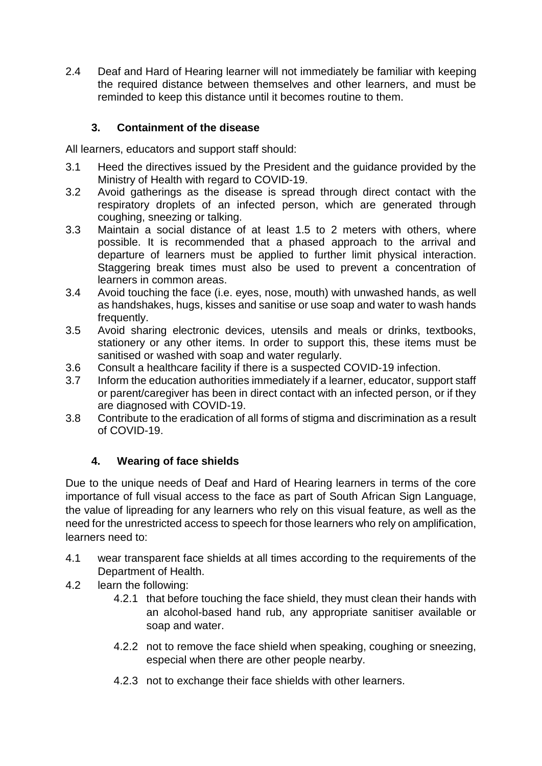2.4 Deaf and Hard of Hearing learner will not immediately be familiar with keeping the required distance between themselves and other learners, and must be reminded to keep this distance until it becomes routine to them.

### **3. Containment of the disease**

<span id="page-3-0"></span>All learners, educators and support staff should:

- 3.1 Heed the directives issued by the President and the guidance provided by the Ministry of Health with regard to COVID-19.
- 3.2 Avoid gatherings as the disease is spread through direct contact with the respiratory droplets of an infected person, which are generated through coughing, sneezing or talking.
- 3.3 Maintain a social distance of at least 1.5 to 2 meters with others, where possible. It is recommended that a phased approach to the arrival and departure of learners must be applied to further limit physical interaction. Staggering break times must also be used to prevent a concentration of learners in common areas.
- 3.4 Avoid touching the face (i.e. eyes, nose, mouth) with unwashed hands, as well as handshakes, hugs, kisses and sanitise or use soap and water to wash hands frequently.
- 3.5 Avoid sharing electronic devices, utensils and meals or drinks, textbooks, stationery or any other items. In order to support this, these items must be sanitised or washed with soap and water regularly.
- 3.6 Consult a healthcare facility if there is a suspected COVID-19 infection.
- 3.7 Inform the education authorities immediately if a learner, educator, support staff or parent/caregiver has been in direct contact with an infected person, or if they are diagnosed with COVID-19.
- 3.8 Contribute to the eradication of all forms of stigma and discrimination as a result of COVID-19.

## **4. Wearing of face shields**

<span id="page-3-1"></span>Due to the unique needs of Deaf and Hard of Hearing learners in terms of the core importance of full visual access to the face as part of South African Sign Language, the value of lipreading for any learners who rely on this visual feature, as well as the need for the unrestricted access to speech for those learners who rely on amplification, learners need to:

- 4.1 wear transparent face shields at all times according to the requirements of the Department of Health.
- 4.2 learn the following:
	- 4.2.1 that before touching the face shield, they must clean their hands with an alcohol-based hand rub, any appropriate sanitiser available or soap and water.
	- 4.2.2 not to remove the face shield when speaking, coughing or sneezing, especial when there are other people nearby.
	- 4.2.3 not to exchange their face shields with other learners.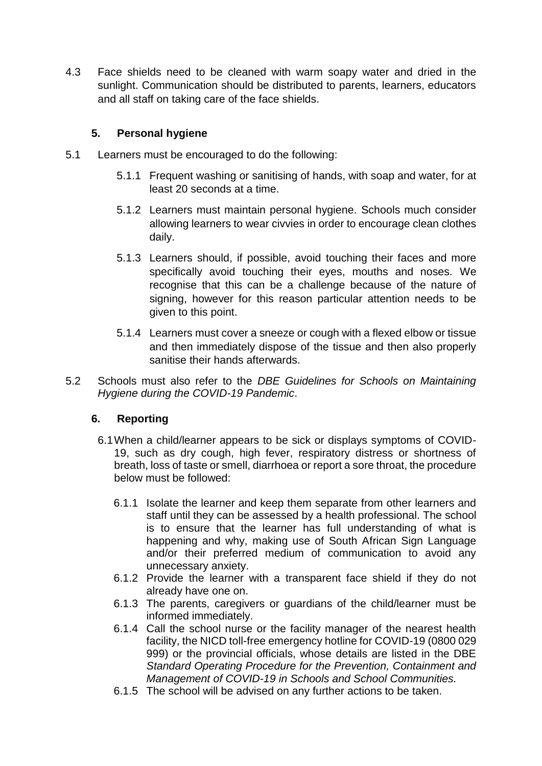4.3 Face shields need to be cleaned with warm soapy water and dried in the sunlight. Communication should be distributed to parents, learners, educators and all staff on taking care of the face shields.

#### **5. Personal hygiene**

- <span id="page-4-0"></span>5.1 Learners must be encouraged to do the following:
	- 5.1.1 Frequent washing or sanitising of hands, with soap and water, for at least 20 seconds at a time.
	- 5.1.2 Learners must maintain personal hygiene. Schools much consider allowing learners to wear civvies in order to encourage clean clothes daily.
	- 5.1.3 Learners should, if possible, avoid touching their faces and more specifically avoid touching their eyes, mouths and noses. We recognise that this can be a challenge because of the nature of signing, however for this reason particular attention needs to be given to this point.
	- 5.1.4 Learners must cover a sneeze or cough with a flexed elbow or tissue and then immediately dispose of the tissue and then also properly sanitise their hands afterwards.
- 5.2 Schools must also refer to the *DBE Guidelines for Schools on Maintaining Hygiene during the COVID-19 Pandemic*.

#### <span id="page-4-1"></span>**6. Reporting**

- 6.1When a child/learner appears to be sick or displays symptoms of COVID-19, such as dry cough, high fever, respiratory distress or shortness of breath, loss of taste or smell, diarrhoea or report a sore throat, the procedure below must be followed:
	- 6.1.1 Isolate the learner and keep them separate from other learners and staff until they can be assessed by a health professional. The school is to ensure that the learner has full understanding of what is happening and why, making use of South African Sign Language and/or their preferred medium of communication to avoid any unnecessary anxiety.
	- 6.1.2 Provide the learner with a transparent face shield if they do not already have one on.
	- 6.1.3 The parents, caregivers or guardians of the child/learner must be informed immediately.
	- 6.1.4 Call the school nurse or the facility manager of the nearest health facility, the NICD toll-free emergency hotline for COVID-19 (0800 029 999) or the provincial officials, whose details are listed in the DBE *Standard Operating Procedure for the Prevention, Containment and Management of COVID-19 in Schools and School Communities.*
	- 6.1.5 The school will be advised on any further actions to be taken.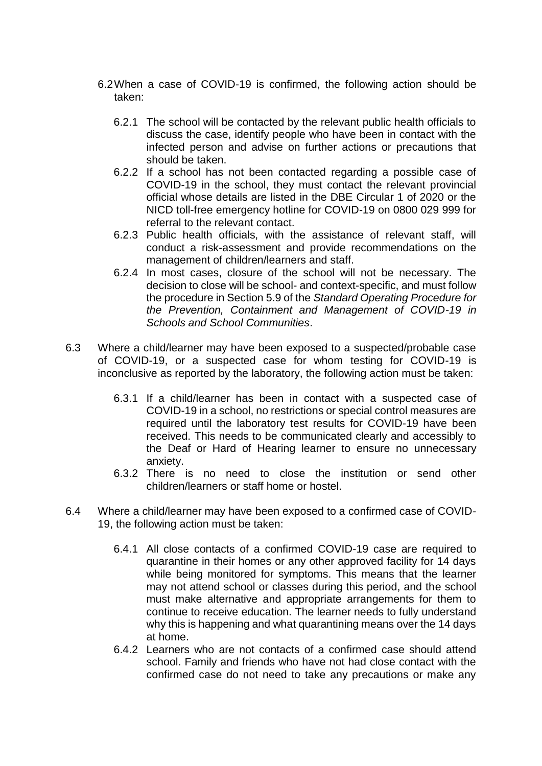- 6.2When a case of COVID-19 is confirmed, the following action should be taken:
	- 6.2.1 The school will be contacted by the relevant public health officials to discuss the case, identify people who have been in contact with the infected person and advise on further actions or precautions that should be taken.
	- 6.2.2 If a school has not been contacted regarding a possible case of COVID-19 in the school, they must contact the relevant provincial official whose details are listed in the DBE Circular 1 of 2020 or the NICD toll-free emergency hotline for COVID-19 on 0800 029 999 for referral to the relevant contact.
	- 6.2.3 Public health officials, with the assistance of relevant staff, will conduct a risk-assessment and provide recommendations on the management of children/learners and staff.
	- 6.2.4 In most cases, closure of the school will not be necessary. The decision to close will be school- and context-specific, and must follow the procedure in Section 5.9 of the *Standard Operating Procedure for the Prevention, Containment and Management of COVID-19 in Schools and School Communities*.
- 6.3 Where a child/learner may have been exposed to a suspected/probable case of COVID-19, or a suspected case for whom testing for COVID-19 is inconclusive as reported by the laboratory, the following action must be taken:
	- 6.3.1 If a child/learner has been in contact with a suspected case of COVID-19 in a school, no restrictions or special control measures are required until the laboratory test results for COVID-19 have been received. This needs to be communicated clearly and accessibly to the Deaf or Hard of Hearing learner to ensure no unnecessary anxiety.
	- 6.3.2 There is no need to close the institution or send other children/learners or staff home or hostel.
- 6.4 Where a child/learner may have been exposed to a confirmed case of COVID-19, the following action must be taken:
	- 6.4.1 All close contacts of a confirmed COVID-19 case are required to quarantine in their homes or any other approved facility for 14 days while being monitored for symptoms. This means that the learner may not attend school or classes during this period, and the school must make alternative and appropriate arrangements for them to continue to receive education. The learner needs to fully understand why this is happening and what quarantining means over the 14 days at home.
	- 6.4.2 Learners who are not contacts of a confirmed case should attend school. Family and friends who have not had close contact with the confirmed case do not need to take any precautions or make any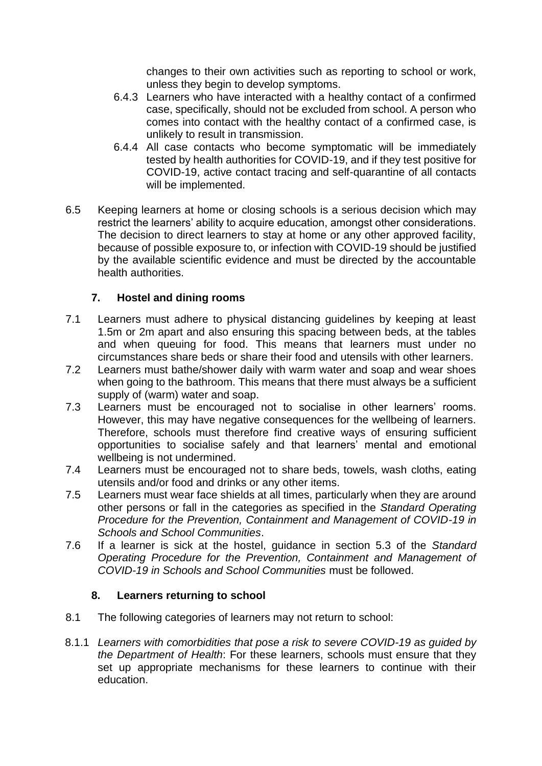changes to their own activities such as reporting to school or work, unless they begin to develop symptoms.

- 6.4.3 Learners who have interacted with a healthy contact of a confirmed case, specifically, should not be excluded from school. A person who comes into contact with the healthy contact of a confirmed case, is unlikely to result in transmission.
- 6.4.4 All case contacts who become symptomatic will be immediately tested by health authorities for COVID-19, and if they test positive for COVID-19, active contact tracing and self-quarantine of all contacts will be implemented.
- 6.5 Keeping learners at home or closing schools is a serious decision which may restrict the learners' ability to acquire education, amongst other considerations. The decision to direct learners to stay at home or any other approved facility, because of possible exposure to, or infection with COVID-19 should be justified by the available scientific evidence and must be directed by the accountable health authorities.

#### **7. Hostel and dining rooms**

- <span id="page-6-0"></span>7.1 Learners must adhere to physical distancing guidelines by keeping at least 1.5m or 2m apart and also ensuring this spacing between beds, at the tables and when queuing for food. This means that learners must under no circumstances share beds or share their food and utensils with other learners.
- 7.2 Learners must bathe/shower daily with warm water and soap and wear shoes when going to the bathroom. This means that there must always be a sufficient supply of (warm) water and soap.
- 7.3 Learners must be encouraged not to socialise in other learners' rooms. However, this may have negative consequences for the wellbeing of learners. Therefore, schools must therefore find creative ways of ensuring sufficient opportunities to socialise safely and that learners' mental and emotional wellbeing is not undermined.
- 7.4 Learners must be encouraged not to share beds, towels, wash cloths, eating utensils and/or food and drinks or any other items.
- 7.5 Learners must wear face shields at all times, particularly when they are around other persons or fall in the categories as specified in the *Standard Operating Procedure for the Prevention, Containment and Management of COVID-19 in Schools and School Communities*.
- 7.6 If a learner is sick at the hostel, guidance in section 5.3 of the *Standard Operating Procedure for the Prevention, Containment and Management of COVID-19 in Schools and School Communities* must be followed.

#### **8. Learners returning to school**

- <span id="page-6-1"></span>8.1 The following categories of learners may not return to school:
- 8.1.1 *Learners with comorbidities that pose a risk to severe COVID-19 as guided by the Department of Health*: For these learners, schools must ensure that they set up appropriate mechanisms for these learners to continue with their education.